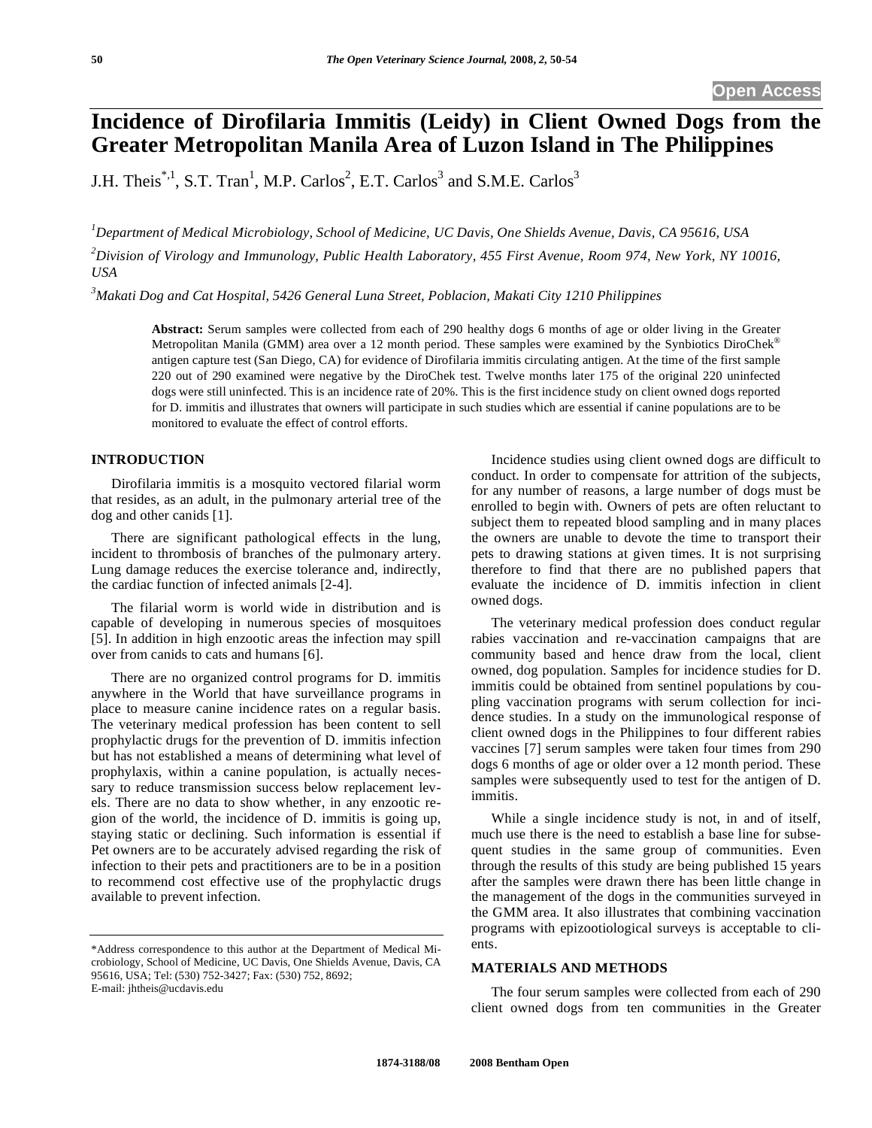# **Incidence of Dirofilaria Immitis (Leidy) in Client Owned Dogs from the Greater Metropolitan Manila Area of Luzon Island in The Philippines**

J.H. Theis<sup>\*,1</sup>, S.T. Tran<sup>1</sup>, M.P. Carlos<sup>2</sup>, E.T. Carlos<sup>3</sup> and S.M.E. Carlos<sup>3</sup>

*1 Department of Medical Microbiology, School of Medicine, UC Davis, One Shields Avenue, Davis, CA 95616, USA* 

*2 Division of Virology and Immunology, Public Health Laboratory, 455 First Avenue, Room 974, New York, NY 10016, USA* 

*3 Makati Dog and Cat Hospital, 5426 General Luna Street, Poblacion, Makati City 1210 Philippines* 

**Abstract:** Serum samples were collected from each of 290 healthy dogs 6 months of age or older living in the Greater Metropolitan Manila (GMM) area over a 12 month period. These samples were examined by the Synbiotics DiroChek<sup>®</sup> antigen capture test (San Diego, CA) for evidence of Dirofilaria immitis circulating antigen. At the time of the first sample 220 out of 290 examined were negative by the DiroChek test. Twelve months later 175 of the original 220 uninfected dogs were still uninfected. This is an incidence rate of 20%. This is the first incidence study on client owned dogs reported for D. immitis and illustrates that owners will participate in such studies which are essential if canine populations are to be monitored to evaluate the effect of control efforts.

# **INTRODUCTION**

 Dirofilaria immitis is a mosquito vectored filarial worm that resides, as an adult, in the pulmonary arterial tree of the dog and other canids [1].

 There are significant pathological effects in the lung, incident to thrombosis of branches of the pulmonary artery. Lung damage reduces the exercise tolerance and, indirectly, the cardiac function of infected animals [2-4].

 The filarial worm is world wide in distribution and is capable of developing in numerous species of mosquitoes [5]. In addition in high enzootic areas the infection may spill over from canids to cats and humans [6].

 There are no organized control programs for D. immitis anywhere in the World that have surveillance programs in place to measure canine incidence rates on a regular basis. The veterinary medical profession has been content to sell prophylactic drugs for the prevention of D. immitis infection but has not established a means of determining what level of prophylaxis, within a canine population, is actually necessary to reduce transmission success below replacement levels. There are no data to show whether, in any enzootic region of the world, the incidence of D. immitis is going up, staying static or declining. Such information is essential if Pet owners are to be accurately advised regarding the risk of infection to their pets and practitioners are to be in a position to recommend cost effective use of the prophylactic drugs available to prevent infection.

 Incidence studies using client owned dogs are difficult to conduct. In order to compensate for attrition of the subjects, for any number of reasons, a large number of dogs must be enrolled to begin with. Owners of pets are often reluctant to subject them to repeated blood sampling and in many places the owners are unable to devote the time to transport their pets to drawing stations at given times. It is not surprising therefore to find that there are no published papers that evaluate the incidence of D. immitis infection in client owned dogs.

 The veterinary medical profession does conduct regular rabies vaccination and re-vaccination campaigns that are community based and hence draw from the local, client owned, dog population. Samples for incidence studies for D. immitis could be obtained from sentinel populations by coupling vaccination programs with serum collection for incidence studies. In a study on the immunological response of client owned dogs in the Philippines to four different rabies vaccines [7] serum samples were taken four times from 290 dogs 6 months of age or older over a 12 month period. These samples were subsequently used to test for the antigen of D. immitis.

 While a single incidence study is not, in and of itself, much use there is the need to establish a base line for subsequent studies in the same group of communities. Even through the results of this study are being published 15 years after the samples were drawn there has been little change in the management of the dogs in the communities surveyed in the GMM area. It also illustrates that combining vaccination programs with epizootiological surveys is acceptable to clients.

# **MATERIALS AND METHODS**

 The four serum samples were collected from each of 290 client owned dogs from ten communities in the Greater

<sup>\*</sup>Address correspondence to this author at the Department of Medical Microbiology, School of Medicine, UC Davis, One Shields Avenue, Davis, CA 95616, USA; Tel: (530) 752-3427; Fax: (530) 752, 8692; E-mail: jhtheis@ucdavis.edu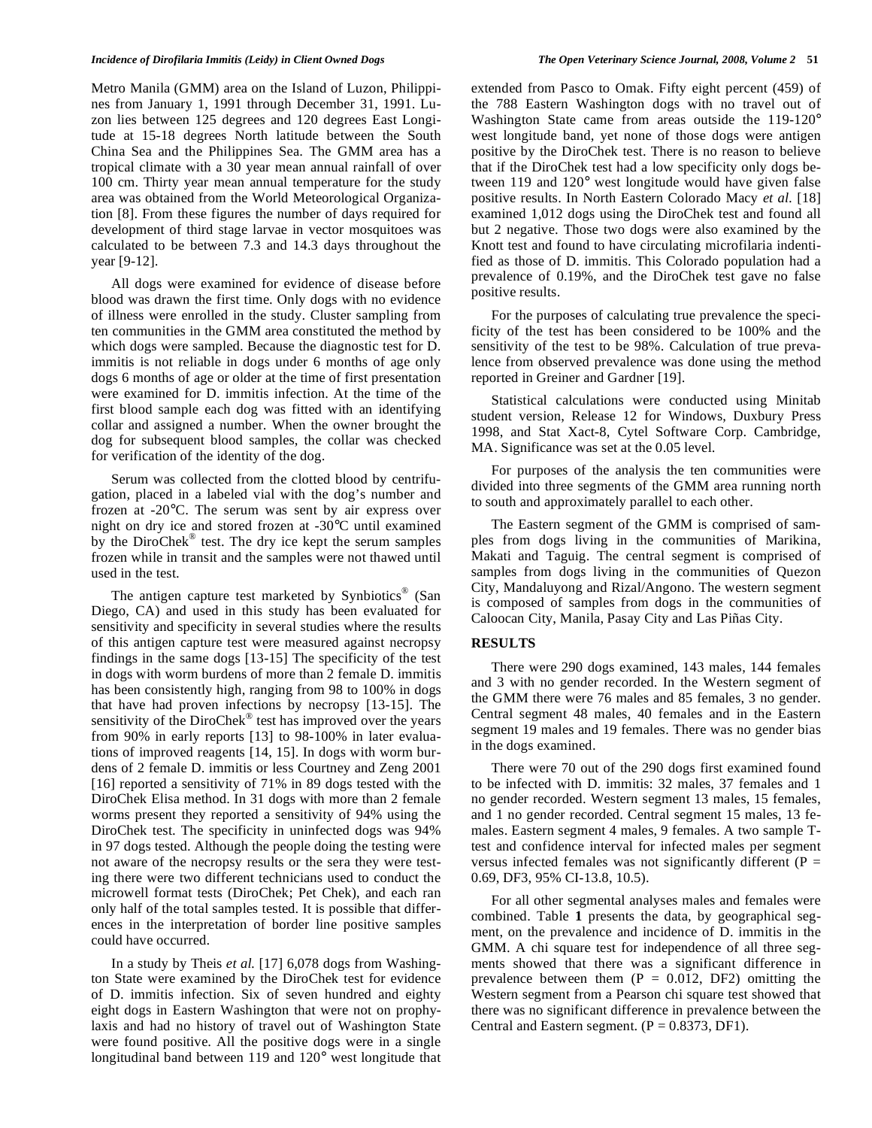Metro Manila (GMM) area on the Island of Luzon, Philippines from January 1, 1991 through December 31, 1991. Luzon lies between 125 degrees and 120 degrees East Longitude at 15-18 degrees North latitude between the South China Sea and the Philippines Sea. The GMM area has a tropical climate with a 30 year mean annual rainfall of over 100 cm. Thirty year mean annual temperature for the study area was obtained from the World Meteorological Organization [8]. From these figures the number of days required for development of third stage larvae in vector mosquitoes was calculated to be between 7.3 and 14.3 days throughout the year [9-12].

 All dogs were examined for evidence of disease before blood was drawn the first time. Only dogs with no evidence of illness were enrolled in the study. Cluster sampling from ten communities in the GMM area constituted the method by which dogs were sampled. Because the diagnostic test for D. immitis is not reliable in dogs under 6 months of age only dogs 6 months of age or older at the time of first presentation were examined for D. immitis infection. At the time of the first blood sample each dog was fitted with an identifying collar and assigned a number. When the owner brought the dog for subsequent blood samples, the collar was checked for verification of the identity of the dog.

 Serum was collected from the clotted blood by centrifugation, placed in a labeled vial with the dog's number and frozen at -20°C. The serum was sent by air express over night on dry ice and stored frozen at -30°C until examined by the DiroChek® test. The dry ice kept the serum samples frozen while in transit and the samples were not thawed until used in the test.

The antigen capture test marketed by Synbiotics<sup>®</sup> (San Diego, CA) and used in this study has been evaluated for sensitivity and specificity in several studies where the results of this antigen capture test were measured against necropsy findings in the same dogs [13-15] The specificity of the test in dogs with worm burdens of more than 2 female D. immitis has been consistently high, ranging from 98 to 100% in dogs that have had proven infections by necropsy [13-15]. The sensitivity of the DiroChek® test has improved over the years from 90% in early reports [13] to 98-100% in later evaluations of improved reagents [14, 15]. In dogs with worm burdens of 2 female D. immitis or less Courtney and Zeng 2001 [16] reported a sensitivity of 71% in 89 dogs tested with the DiroChek Elisa method. In 31 dogs with more than 2 female worms present they reported a sensitivity of 94% using the DiroChek test. The specificity in uninfected dogs was 94% in 97 dogs tested. Although the people doing the testing were not aware of the necropsy results or the sera they were testing there were two different technicians used to conduct the microwell format tests (DiroChek; Pet Chek), and each ran only half of the total samples tested. It is possible that differences in the interpretation of border line positive samples could have occurred.

 In a study by Theis *et al.* [17] 6,078 dogs from Washington State were examined by the DiroChek test for evidence of D. immitis infection. Six of seven hundred and eighty eight dogs in Eastern Washington that were not on prophylaxis and had no history of travel out of Washington State were found positive. All the positive dogs were in a single longitudinal band between 119 and 120° west longitude that extended from Pasco to Omak. Fifty eight percent (459) of the 788 Eastern Washington dogs with no travel out of Washington State came from areas outside the 119-120° west longitude band, yet none of those dogs were antigen positive by the DiroChek test. There is no reason to believe that if the DiroChek test had a low specificity only dogs between 119 and 120° west longitude would have given false positive results. In North Eastern Colorado Macy *et al.* [18] examined 1,012 dogs using the DiroChek test and found all but 2 negative. Those two dogs were also examined by the Knott test and found to have circulating microfilaria indentified as those of D. immitis. This Colorado population had a prevalence of 0.19%, and the DiroChek test gave no false positive results.

 For the purposes of calculating true prevalence the specificity of the test has been considered to be 100% and the sensitivity of the test to be 98%. Calculation of true prevalence from observed prevalence was done using the method reported in Greiner and Gardner [19].

 Statistical calculations were conducted using Minitab student version, Release 12 for Windows, Duxbury Press 1998, and Stat Xact-8, Cytel Software Corp. Cambridge, MA. Significance was set at the 0.05 level.

 For purposes of the analysis the ten communities were divided into three segments of the GMM area running north to south and approximately parallel to each other.

 The Eastern segment of the GMM is comprised of samples from dogs living in the communities of Marikina, Makati and Taguig. The central segment is comprised of samples from dogs living in the communities of Quezon City, Mandaluyong and Rizal/Angono. The western segment is composed of samples from dogs in the communities of Caloocan City, Manila, Pasay City and Las Piñas City.

## **RESULTS**

 There were 290 dogs examined, 143 males, 144 females and 3 with no gender recorded. In the Western segment of the GMM there were 76 males and 85 females, 3 no gender. Central segment 48 males, 40 females and in the Eastern segment 19 males and 19 females. There was no gender bias in the dogs examined.

 There were 70 out of the 290 dogs first examined found to be infected with D. immitis: 32 males, 37 females and 1 no gender recorded. Western segment 13 males, 15 females, and 1 no gender recorded. Central segment 15 males, 13 females. Eastern segment 4 males, 9 females. A two sample Ttest and confidence interval for infected males per segment versus infected females was not significantly different ( $P =$ 0.69, DF3, 95% CI-13.8, 10.5).

 For all other segmental analyses males and females were combined. Table **1** presents the data, by geographical segment, on the prevalence and incidence of D. immitis in the GMM. A chi square test for independence of all three segments showed that there was a significant difference in prevalence between them  $(P = 0.012, DF2)$  omitting the Western segment from a Pearson chi square test showed that there was no significant difference in prevalence between the Central and Eastern segment.  $(P = 0.8373, DF1)$ .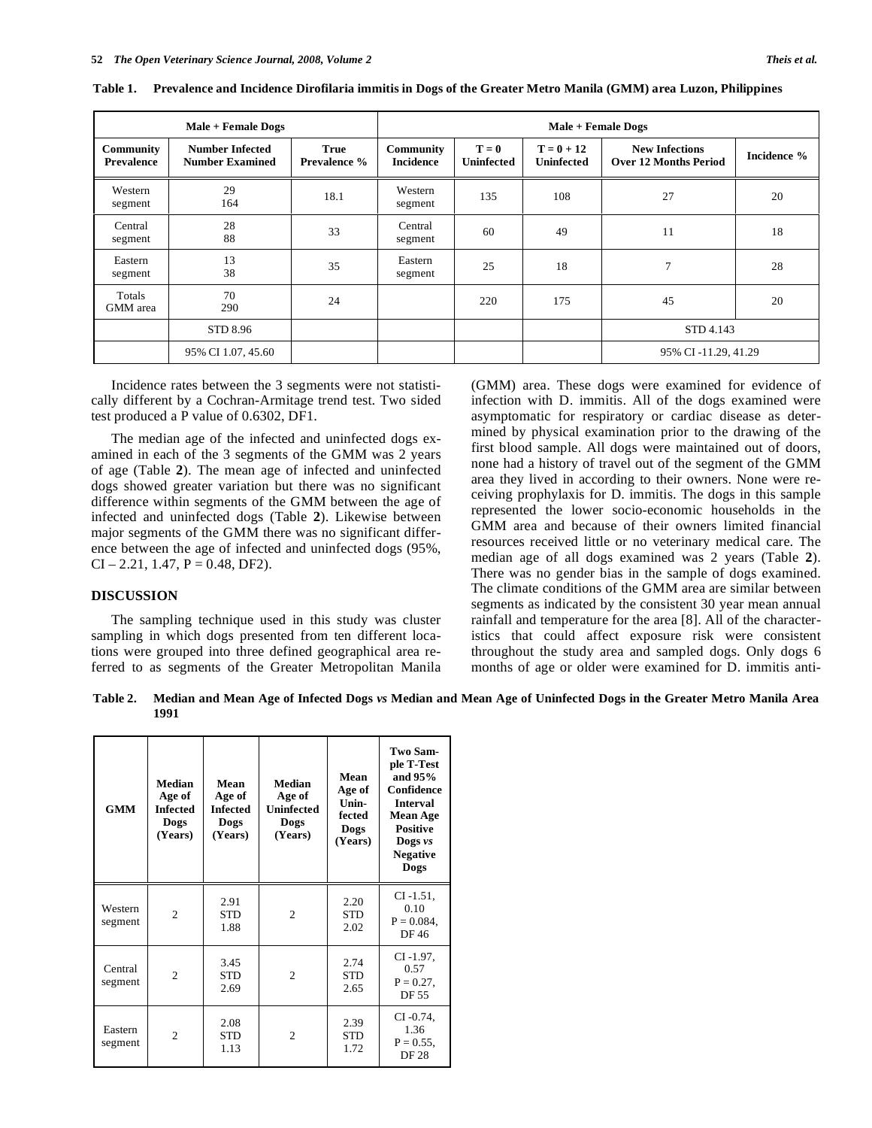| Male + Female Dogs             |                                                  |                                    | Male + Female Dogs                   |                              |                            |                                                       |             |  |
|--------------------------------|--------------------------------------------------|------------------------------------|--------------------------------------|------------------------------|----------------------------|-------------------------------------------------------|-------------|--|
| Community<br><b>Prevalence</b> | <b>Number Infected</b><br><b>Number Examined</b> | <b>True</b><br><b>Prevalence %</b> | <b>Community</b><br><b>Incidence</b> | $T = 0$<br><b>Uninfected</b> | $T = 0 + 12$<br>Uninfected | <b>New Infections</b><br><b>Over 12 Months Period</b> | Incidence % |  |
| Western<br>segment             | 29<br>164                                        | 18.1                               | Western<br>segment                   | 135                          | 108                        | 27                                                    | 20          |  |
| Central<br>segment             | 28<br>88                                         | 33                                 | Central<br>segment                   | 60                           | 49                         | 11                                                    | 18          |  |
| Eastern<br>segment             | 13<br>38                                         | 35                                 | Eastern<br>segment                   | 25                           | 18                         | $\overline{7}$                                        | 28          |  |
| Totals<br>GMM area             | 70<br>290                                        | 24                                 |                                      | 220                          | 175                        | 45                                                    | 20          |  |
|                                | STD 8.96                                         |                                    |                                      |                              |                            | STD 4.143                                             |             |  |
|                                | 95% CI 1.07, 45.60                               |                                    |                                      |                              |                            | 95% CI-11.29, 41.29                                   |             |  |

**Table 1. Prevalence and Incidence Dirofilaria immitis in Dogs of the Greater Metro Manila (GMM) area Luzon, Philippines** 

 Incidence rates between the 3 segments were not statistically different by a Cochran-Armitage trend test. Two sided test produced a P value of 0.6302, DF1.

 The median age of the infected and uninfected dogs examined in each of the 3 segments of the GMM was 2 years of age (Table **2**). The mean age of infected and uninfected dogs showed greater variation but there was no significant difference within segments of the GMM between the age of infected and uninfected dogs (Table **2**). Likewise between major segments of the GMM there was no significant difference between the age of infected and uninfected dogs (95%,  $CI - 2.21$ , 1.47,  $P = 0.48$ , DF2).

# **DISCUSSION**

 The sampling technique used in this study was cluster sampling in which dogs presented from ten different locations were grouped into three defined geographical area referred to as segments of the Greater Metropolitan Manila (GMM) area. These dogs were examined for evidence of infection with D. immitis. All of the dogs examined were asymptomatic for respiratory or cardiac disease as determined by physical examination prior to the drawing of the first blood sample. All dogs were maintained out of doors, none had a history of travel out of the segment of the GMM area they lived in according to their owners. None were receiving prophylaxis for D. immitis. The dogs in this sample represented the lower socio-economic households in the GMM area and because of their owners limited financial resources received little or no veterinary medical care. The median age of all dogs examined was 2 years (Table **2**). There was no gender bias in the sample of dogs examined. The climate conditions of the GMM area are similar between segments as indicated by the consistent 30 year mean annual rainfall and temperature for the area [8]. All of the characteristics that could affect exposure risk were consistent throughout the study area and sampled dogs. Only dogs 6 months of age or older were examined for D. immitis anti-

**Table 2. Median and Mean Age of Infected Dogs** *vs* **Median and Mean Age of Uninfected Dogs in the Greater Metro Manila Area 1991** 

| <b>GMM</b>         | Median<br>Age of<br><b>Infected</b><br>Dogs<br>(Years) | Mean<br>Age of<br><b>Infected</b><br>Dogs<br>(Years) | Median<br>Age of<br><b>Uninfected</b><br>Dogs<br>(Years) | Mean<br>Age of<br>Unin-<br>fected<br>Dogs<br>(Years) | Two Sam-<br>ple T-Test<br>and 95%<br>Confidence<br><b>Interval</b><br><b>Mean Age</b><br><b>Positive</b><br>Dogs vs<br><b>Negative</b><br>Dogs |
|--------------------|--------------------------------------------------------|------------------------------------------------------|----------------------------------------------------------|------------------------------------------------------|------------------------------------------------------------------------------------------------------------------------------------------------|
| Western<br>segment | $\overline{2}$                                         | 2.91<br><b>STD</b><br>1.88                           | $\overline{c}$                                           | 2.20<br><b>STD</b><br>2.02                           | $CI - 1.51$ ,<br>0.10<br>$P = 0.084$ ,<br>DF 46                                                                                                |
| Central<br>segment | $\overline{2}$                                         | 3.45<br><b>STD</b><br>2.69                           | $\overline{c}$                                           | 2.74<br><b>STD</b><br>2.65                           | $CI - 1.97$ ,<br>0.57<br>$P = 0.27$ ,<br>DF 55                                                                                                 |
| Eastern<br>segment | $\mathfrak{D}$                                         | 2.08<br><b>STD</b><br>1.13                           | $\overline{c}$                                           | 2.39<br><b>STD</b><br>1.72                           | $CI - 0.74$ ,<br>1.36<br>$P = 0.55$ ,<br>DF 28                                                                                                 |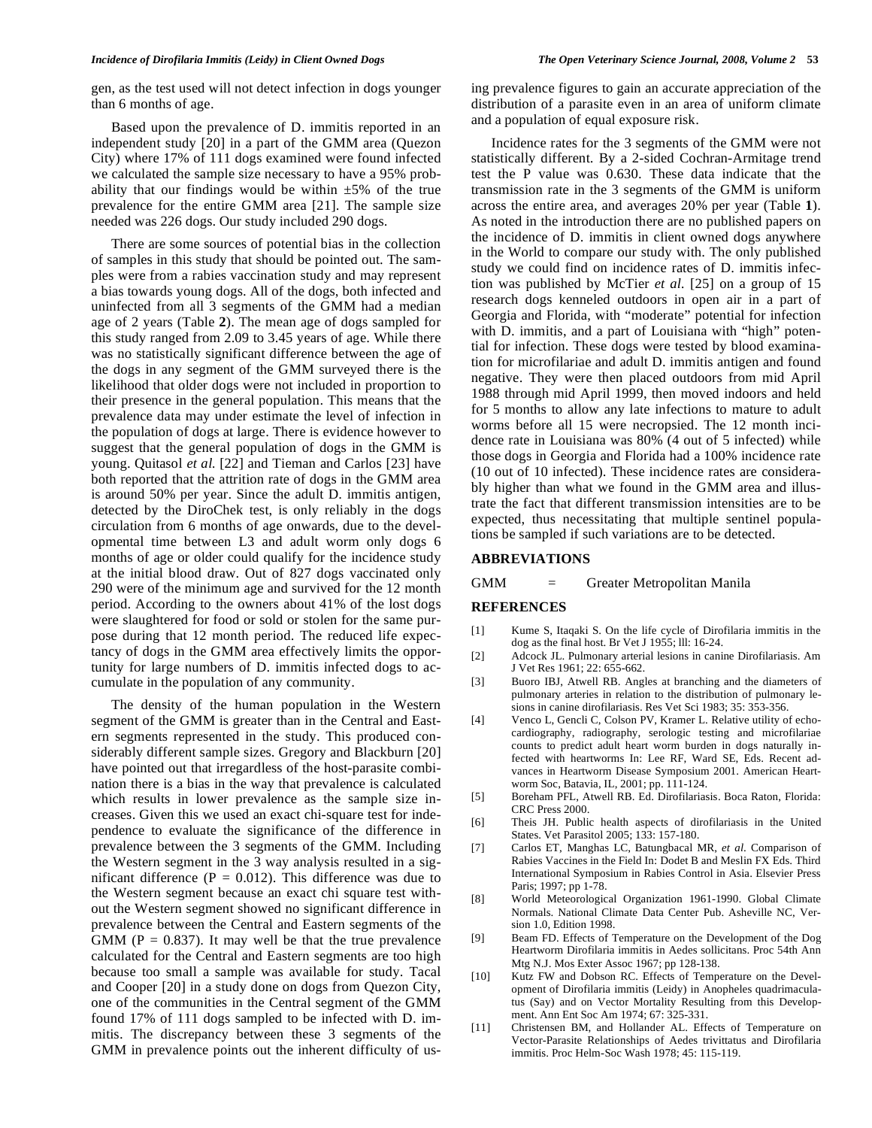gen, as the test used will not detect infection in dogs younger than 6 months of age.

 Based upon the prevalence of D. immitis reported in an independent study [20] in a part of the GMM area (Quezon City) where 17% of 111 dogs examined were found infected we calculated the sample size necessary to have a 95% probability that our findings would be within  $\pm 5\%$  of the true prevalence for the entire GMM area [21]. The sample size needed was 226 dogs. Our study included 290 dogs.

 There are some sources of potential bias in the collection of samples in this study that should be pointed out. The samples were from a rabies vaccination study and may represent a bias towards young dogs. All of the dogs, both infected and uninfected from all 3 segments of the GMM had a median age of 2 years (Table **2**). The mean age of dogs sampled for this study ranged from 2.09 to 3.45 years of age. While there was no statistically significant difference between the age of the dogs in any segment of the GMM surveyed there is the likelihood that older dogs were not included in proportion to their presence in the general population. This means that the prevalence data may under estimate the level of infection in the population of dogs at large. There is evidence however to suggest that the general population of dogs in the GMM is young. Quitasol *et al.* [22] and Tieman and Carlos [23] have both reported that the attrition rate of dogs in the GMM area is around 50% per year. Since the adult D. immitis antigen, detected by the DiroChek test, is only reliably in the dogs circulation from 6 months of age onwards, due to the developmental time between L3 and adult worm only dogs 6 months of age or older could qualify for the incidence study at the initial blood draw. Out of 827 dogs vaccinated only 290 were of the minimum age and survived for the 12 month period. According to the owners about 41% of the lost dogs were slaughtered for food or sold or stolen for the same purpose during that 12 month period. The reduced life expectancy of dogs in the GMM area effectively limits the opportunity for large numbers of D. immitis infected dogs to accumulate in the population of any community.

 The density of the human population in the Western segment of the GMM is greater than in the Central and Eastern segments represented in the study. This produced considerably different sample sizes. Gregory and Blackburn [20] have pointed out that irregardless of the host-parasite combination there is a bias in the way that prevalence is calculated which results in lower prevalence as the sample size increases. Given this we used an exact chi-square test for independence to evaluate the significance of the difference in prevalence between the 3 segments of the GMM. Including the Western segment in the 3 way analysis resulted in a significant difference ( $P = 0.012$ ). This difference was due to the Western segment because an exact chi square test without the Western segment showed no significant difference in prevalence between the Central and Eastern segments of the GMM ( $P = 0.837$ ). It may well be that the true prevalence calculated for the Central and Eastern segments are too high because too small a sample was available for study. Tacal and Cooper [20] in a study done on dogs from Quezon City, one of the communities in the Central segment of the GMM found 17% of 111 dogs sampled to be infected with D. immitis. The discrepancy between these 3 segments of the GMM in prevalence points out the inherent difficulty of using prevalence figures to gain an accurate appreciation of the distribution of a parasite even in an area of uniform climate and a population of equal exposure risk.

 Incidence rates for the 3 segments of the GMM were not statistically different. By a 2-sided Cochran-Armitage trend test the P value was 0.630. These data indicate that the transmission rate in the 3 segments of the GMM is uniform across the entire area, and averages 20% per year (Table **1**). As noted in the introduction there are no published papers on the incidence of D. immitis in client owned dogs anywhere in the World to compare our study with. The only published study we could find on incidence rates of D. immitis infection was published by McTier *et al.* [25] on a group of 15 research dogs kenneled outdoors in open air in a part of Georgia and Florida, with "moderate" potential for infection with D. immitis, and a part of Louisiana with "high" potential for infection. These dogs were tested by blood examination for microfilariae and adult D. immitis antigen and found negative. They were then placed outdoors from mid April 1988 through mid April 1999, then moved indoors and held for 5 months to allow any late infections to mature to adult worms before all 15 were necropsied. The 12 month incidence rate in Louisiana was 80% (4 out of 5 infected) while those dogs in Georgia and Florida had a 100% incidence rate (10 out of 10 infected). These incidence rates are considerably higher than what we found in the GMM area and illustrate the fact that different transmission intensities are to be expected, thus necessitating that multiple sentinel populations be sampled if such variations are to be detected.

# **ABBREVIATIONS**

GMM = Greater Metropolitan Manila

#### **REFERENCES**

- [1] Kume S, Itaqaki S. On the life cycle of Dirofilaria immitis in the dog as the final host. Br Vet J 1955; lll: 16-24.
- [2] Adcock JL. Pulmonary arterial lesions in canine Dirofilariasis. Am J Vet Res 1961; 22: 655-662.
- [3] Buoro IBJ, Atwell RB. Angles at branching and the diameters of pulmonary arteries in relation to the distribution of pulmonary lesions in canine dirofilariasis. Res Vet Sci 1983; 35: 353-356.
- [4] Venco L, Gencli C, Colson PV, Kramer L. Relative utility of echocardiography, radiography, serologic testing and microfilariae counts to predict adult heart worm burden in dogs naturally infected with heartworms In: Lee RF, Ward SE, Eds. Recent advances in Heartworm Disease Symposium 2001. American Heartworm Soc, Batavia, IL, 2001; pp. 111-124.
- [5] Boreham PFL, Atwell RB. Ed. Dirofilariasis. Boca Raton, Florida: CRC Press 2000.
- [6] Theis JH. Public health aspects of dirofilariasis in the United States. Vet Parasitol 2005; 133: 157-180.
- [7] Carlos ET, Manghas LC, Batungbacal MR, *et al*. Comparison of Rabies Vaccines in the Field In: Dodet B and Meslin FX Eds. Third International Symposium in Rabies Control in Asia. Elsevier Press Paris; 1997; pp 1-78.
- [8] World Meteorological Organization 1961-1990. Global Climate Normals. National Climate Data Center Pub. Asheville NC, Version 1.0, Edition 1998.
- [9] Beam FD. Effects of Temperature on the Development of the Dog Heartworm Dirofilaria immitis in Aedes sollicitans. Proc 54th Ann Mtg N.J. Mos Exter Assoc 1967; pp 128-138.
- [10] Kutz FW and Dobson RC. Effects of Temperature on the Development of Dirofilaria immitis (Leidy) in Anopheles quadrimaculatus (Say) and on Vector Mortality Resulting from this Development. Ann Ent Soc Am 1974; 67: 325-331.
- [11] Christensen BM, and Hollander AL. Effects of Temperature on Vector-Parasite Relationships of Aedes trivittatus and Dirofilaria immitis. Proc Helm-Soc Wash 1978; 45: 115-119.